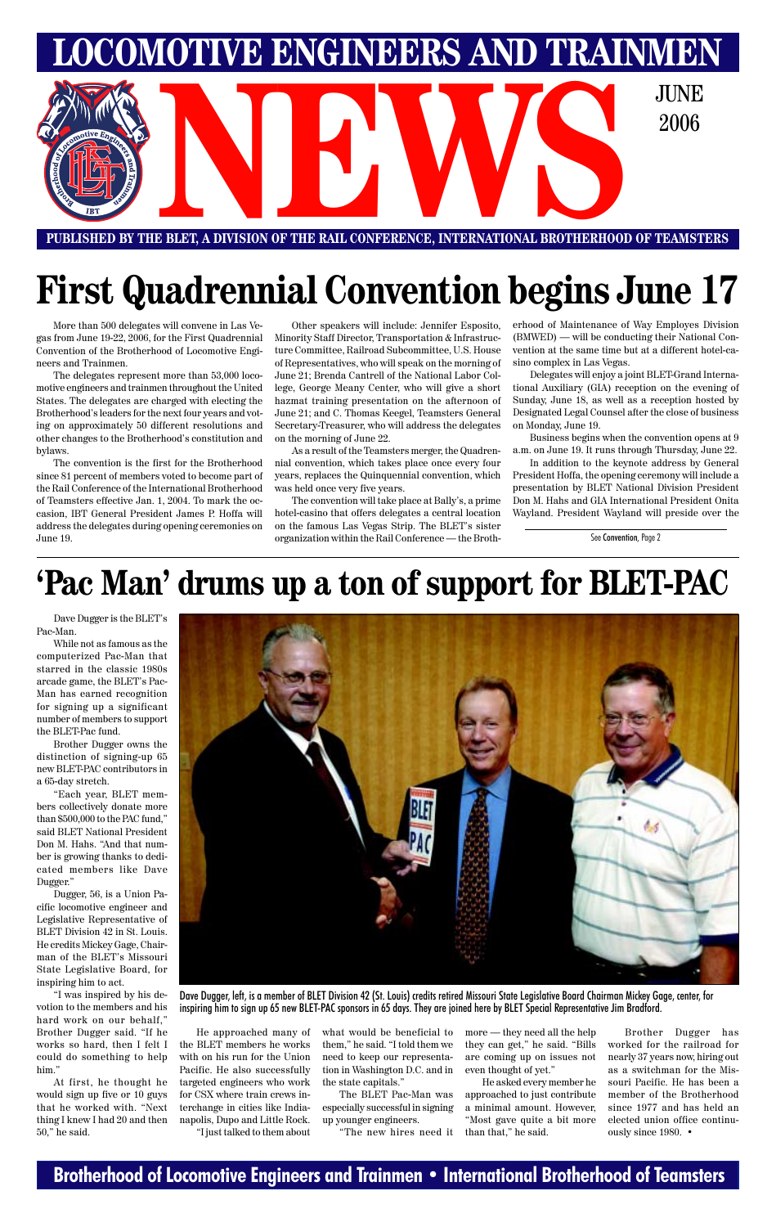### **Brotherhood of Locomotive Engineers and Trainmen • International Brotherhood of Teamsters**



## **First Quadrennial Convention begins June 17**

## **'Pac Man' drums up a ton of support for BLET-PAC**

Dave Dugger is the BLET's Pac-Man.

While not as famous as the computerized Pac-Man that starred in the classic 1980s arcade game, the BLET's Pac-Man has earned recognition for signing up a significant number of members to support the BLET-Pac fund.

Brother Dugger owns the distinction of signing-up 65 new BLET-PAC contributors in a 65-day stretch.

"Each year, BLET members collectively donate more than \$500,000 to the PAC fund," said BLET National President Don M. Hahs. "And that number is growing thanks to dedicated members like Dave Dugger."

Dugger, 56, is a Union Pa-



cific locomotive engineer and Legislative Representative of BLET Division 42 in St. Louis. He credits Mickey Gage, Chairman of the BLET's Missouri State Legislative Board, for inspiring him to act.

"I was inspired by his devotion to the members and his hard work on our behalf," Brother Dugger said. "If he works so hard, then I felt I could do something to help him."

At first, he thought he would sign up five or 10 guys that he worked with. "Next thing I knew I had 20 and then 50," he said.

He approached many of the BLET members he works with on his run for the Union Pacific. He also successfully targeted engineers who work for CSX where train crews interchange in cities like Indianapolis, Dupo and Little Rock. "I just talked to them about

what would be beneficial to them," he said. "I told them we need to keep our representation in Washington D.C. and in the state capitals."

The BLET Pac-Man was especially successful in signing up younger engineers.

"The new hires need it

more — they need all the help they can get," he said. "Bills are coming up on issues not even thought of yet."

He asked every member he approached to just contribute a minimal amount. However, "Most gave quite a bit more than that," he said.

Brother Dugger has worked for the railroad for nearly 37 years now, hiring out as a switchman for the Missouri Pacific. He has been a member of the Brotherhood since 1977 and has held an elected union office continuously since 1980. •

Dave Dugger, left, is a member of BLET Division 42 (St. Louis) credits retired Missouri State Legislative Board Chairman Mickey Gage, center, for inspiring him to sign up 65 new BLET-PAC sponsors in 65 days. They are joined here by BLET Special Representative Jim Bradford.

See Convention, Page 2

More than 500 delegates will convene in Las Vegas from June 19-22, 2006, for the First Quadrennial Convention of the Brotherhood of Locomotive Engineers and Trainmen.

The delegates represent more than 53,000 locomotive engineers and trainmen throughout the United States. The delegates are charged with electing the Brotherhood's leaders for the next four years and voting on approximately 50 different resolutions and other changes to the Brotherhood's constitution and bylaws.

The convention is the first for the Brotherhood since 81 percent of members voted to become part of the Rail Conference of the International Brotherhood of Teamsters effective Jan. 1, 2004. To mark the occasion, IBT General President James P. Hoffa will address the delegates during opening ceremonies on June 19.

Other speakers will include: Jennifer Esposito, Minority Staff Director, Transportation & Infrastructure Committee, Railroad Subcommittee, U.S. House of Representatives, who will speak on the morning of June 21; Brenda Cantrell of the National Labor College, George Meany Center, who will give a short hazmat training presentation on the afternoon of June 21; and C. Thomas Keegel, Teamsters General Secretary-Treasurer, who will address the delegates on the morning of June 22.

As a result of the Teamsters merger, the Quadrennial convention, which takes place once every four years, replaces the Quinquennial convention, which was held once very five years.

The convention will take place at Bally's, a prime hotel-casino that offers delegates a central location on the famous Las Vegas Strip. The BLET's sister organization within the Rail Conference — the Brotherhood of Maintenance of Way Employes Division (BMWED) — will be conducting their National Convention at the same time but at a different hotel-casino complex in Las Vegas.

Delegates will enjoy a joint BLET-Grand International Auxiliary (GIA) reception on the evening of Sunday, June 18, as well as a reception hosted by Designated Legal Counsel after the close of business on Monday, June 19.

Business begins when the convention opens at 9 a.m. on June 19. It runs through Thursday, June 22.

In addition to the keynote address by General President Hoffa, the opening ceremony will include a presentation by BLET National Division President Don M. Hahs and GIA International President Onita Wayland. President Wayland will preside over the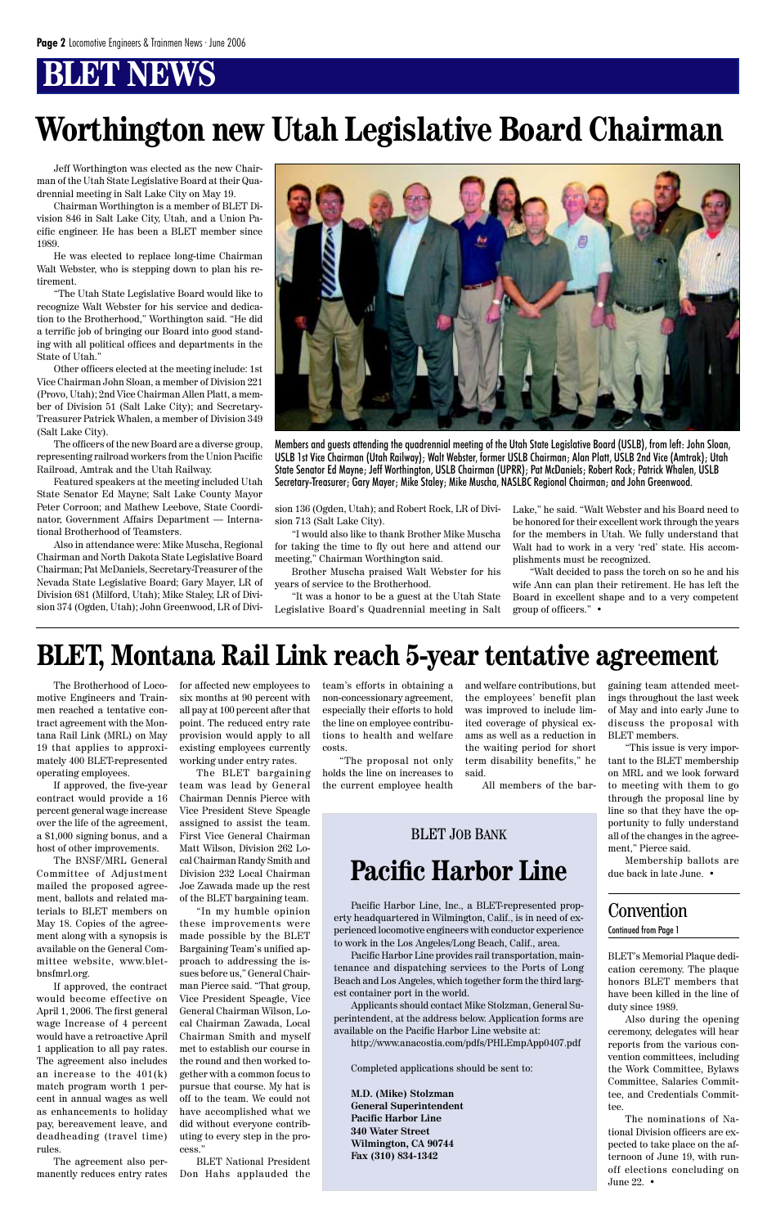## **BLET NEWS**

Jeff Worthington was elected as the new Chairman of the Utah State Legislative Board at their Quadrennial meeting in Salt Lake City on May 19.

Chairman Worthington is a member of BLET Division 846 in Salt Lake City, Utah, and a Union Pacific engineer. He has been a BLET member since 1989.

He was elected to replace long-time Chairman Walt Webster, who is stepping down to plan his retirement.

"The Utah State Legislative Board would like to recognize Walt Webster for his service and dedication to the Brotherhood," Worthington said. "He did a terrific job of bringing our Board into good standing with all political offices and departments in the State of Utah."

Other officers elected at the meeting include: 1st Vice Chairman John Sloan, a member of Division 221 (Provo, Utah); 2nd Vice Chairman Allen Platt, a member of Division 51 (Salt Lake City); and Secretary-Treasurer Patrick Whalen, a member of Division 349 (Salt Lake City).

The officers of the new Board are a diverse group, representing railroad workers from the Union Pacific Railroad, Amtrak and the Utah Railway.

Featured speakers at the meeting included Utah State Senator Ed Mayne; Salt Lake County Mayor Peter Corroon; and Mathew Leebove, State Coordinator, Government Affairs Department — International Brotherhood of Teamsters.

Also in attendance were: Mike Muscha, Regional Chairman and North Dakota State Legislative Board Chairman; Pat McDaniels, Secretary-Treasurer of the Nevada State Legislative Board; Gary Mayer, LR of Division 681 (Milford, Utah); Mike Staley, LR of Division 374 (Ogden, Utah); John Greenwood, LR of Divi-



## **Worthington new Utah Legislative Board Chairman**

The Brotherhood of Locomotive Engineers and Trainmen reached a tentative contract agreement with the Montana Rail Link (MRL) on May 19 that applies to approximately 400 BLET-represented operating employees.

If approved, the five-year contract would provide a 16 percent general wage increase over the life of the agreement, a \$1,000 signing bonus, and a host of other improvements.

The BNSF/MRL General Committee of Adjustment mailed the proposed agreement, ballots and related materials to BLET members on May 18. Copies of the agreement along with a synopsis is available on the General Committee website, www.bletbnsfmrl.org. If approved, the contract would become effective on April 1, 2006. The first general wage Increase of 4 percent would have a retroactive April 1 application to all pay rates. The agreement also includes an increase to the 401(k) match program worth 1 percent in annual wages as well as enhancements to holiday pay, bereavement leave, and deadheading (travel time) rules.

The agreement also permanently reduces entry rates

Pacific Harbor Line, Inc., a BLET-represented property headquartered in Wilmington, Calif., is in need of experienced locomotive engineers with conductor experience to work in the Los Angeles/Long Beach, Calif., area.

Pacific Harbor Line provides rail transportation, maintenance and dispatching services to the Ports of Long Beach and Los Angeles, which together form the third largest container port in the world.

Applicants should contact Mike Stolzman, General Superintendent, at the address below. Application forms are available on the Pacific Harbor Line website at:

http://www.anacostia.com/pdfs/PHLEmpApp0407.pdf

Completed applications should be sent to:

**M.D. (Mike) Stolzman General Superintendent Pacific Harbor Line 340 Water Street Wilmington, CA 90744 Fax (310) 834-1342**

### **Pacific Harbor Line** BLET JOB BANK

### Convention Continued from Page 1

Members and guests attending the quadrennial meeting of the Utah State Legislative Board (USLB), from left: John Sloan, USLB 1st Vice Chairman (Utah Railway); Walt Webster, former USLB Chairman; Alan Platt, USLB 2nd Vice (Amtrak); Utah State Senator Ed Mayne; Jeff Worthington, USLB Chairman (UPRR); Pat McDaniels; Robert Rock; Patrick Whalen, USLB Secretary-Treasurer; Gary Mayer; Mike Staley; Mike Muscha, NASLBC Regional Chairman; and John Greenwood.

sion 136 (Ogden, Utah); and Robert Rock, LR of Division 713 (Salt Lake City).

"I would also like to thank Brother Mike Muscha for taking the time to fly out here and attend our meeting," Chairman Worthington said.

Brother Muscha praised Walt Webster for his years of service to the Brotherhood.

"It was a honor to be a guest at the Utah State Legislative Board's Quadrennial meeting in Salt

Lake," he said. "Walt Webster and his Board need to be honored for their excellent work through the years for the members in Utah. We fully understand that Walt had to work in a very 'red' state. His accomplishments must be recognized.

"Walt decided to pass the torch on so he and his wife Ann can plan their retirement. He has left the Board in excellent shape and to a very competent group of officers." •

> BLET's Memorial Plaque dedication ceremony. The plaque honors BLET members that have been killed in the line of duty since 1989.

> Also during the opening ceremony, delegates will hear reports from the various convention committees, including the Work Committee, Bylaws Committee, Salaries Committee, and Credentials Committee.

> The nominations of National Division officers are expected to take place on the afternoon of June 19, with runoff elections concluding on June 22. •

for affected new employees to six months at 90 percent with all pay at 100 percent after that point. The reduced entry rate provision would apply to all existing employees currently working under entry rates.

The BLET bargaining team was lead by General Chairman Dennis Pierce with Vice President Steve Speagle assigned to assist the team. First Vice General Chairman Matt Wilson, Division 262 Local Chairman Randy Smith and Division 232 Local Chairman Joe Zawada made up the rest of the BLET bargaining team. "In my humble opinion these improvements were made possible by the BLET Bargaining Team's unified approach to addressing the issues before us," General Chairman Pierce said. "That group, Vice President Speagle, Vice General Chairman Wilson, Local Chairman Zawada, Local Chairman Smith and myself met to establish our course in the round and then worked together with a common focus to pursue that course. My hat is off to the team. We could not have accomplished what we did without everyone contributing to every step in the process."

BLET National President Don Hahs applauded the team's efforts in obtaining a non-concessionary agreement, especially their efforts to hold the line on employee contributions to health and welfare costs.

"The proposal not only holds the line on increases to the current employee health and welfare contributions, but the employees' benefit plan was improved to include limited coverage of physical exams as well as a reduction in the waiting period for short term disability benefits," he said.

All members of the bar-

gaining team attended meetings throughout the last week of May and into early June to discuss the proposal with BLET members.

"This issue is very important to the BLET membership on MRL and we look forward to meeting with them to go through the proposal line by line so that they have the opportunity to fully understand all of the changes in the agreement," Pierce said.

Membership ballots are due back in late June. •

### **BLET, Montana Rail Link reach 5-year tentative agreement**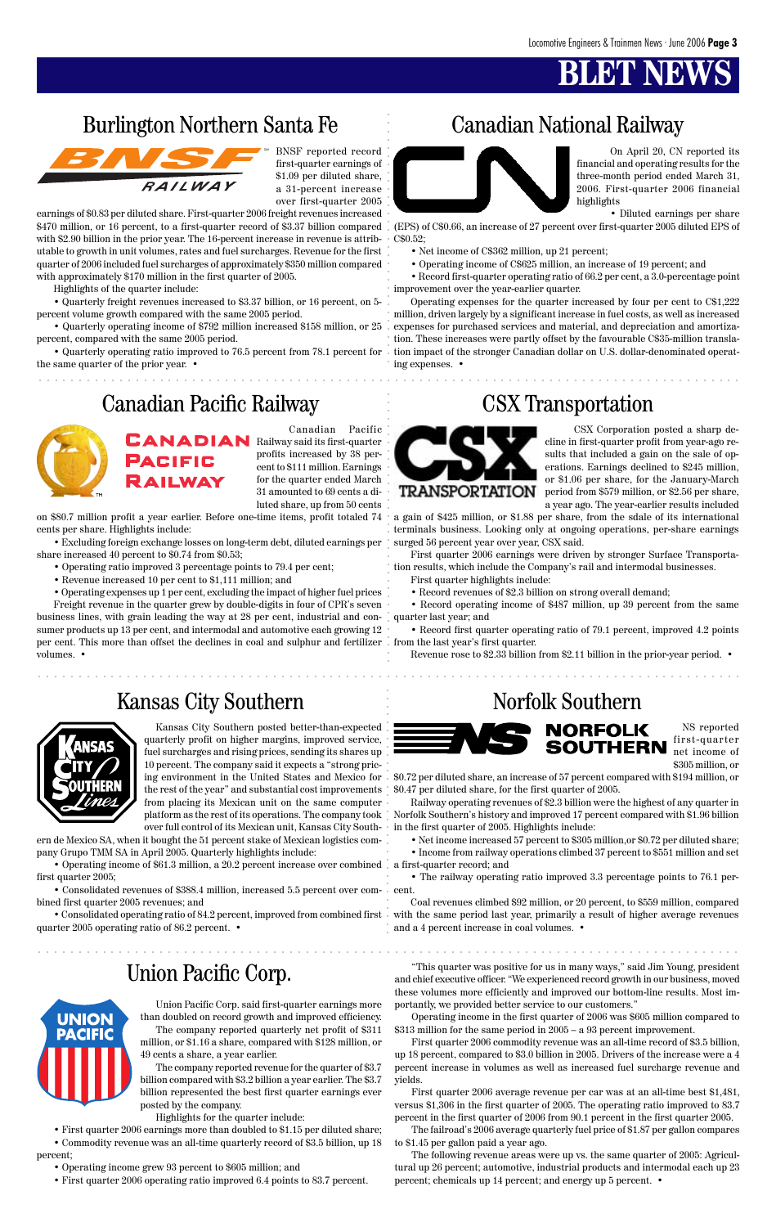## **BLET NEW**

### Burlington Northern Santa Fe Canadian National Railway



"This quarter was positive for us in many ways," said Jim Young, president and chief executive officer. "We experienced record growth in our business, moved these volumes more efficiently and improved our bottom-line results. Most importantly, we provided better service to our customers."

Operating income in the first quarter of 2006 was \$605 million compared to \$313 million for the same period in 2005 – a 93 percent improvement.

First quarter 2006 commodity revenue was an all-time record of \$3.5 billion, up 18 percent, compared to \$3.0 billion in 2005. Drivers of the increase were a 4 percent increase in volumes as well as increased fuel surcharge revenue and yields.

First quarter 2006 average revenue per car was at an all-time best \$1,481, versus \$1,306 in the first quarter of 2005. The operating ratio improved to 83.7 percent in the first quarter of 2006 from 90.1 percent in the first quarter 2005.

The failroad's 2006 average quarterly fuel price of \$1.87 per gallon compares to \$1.45 per gallon paid a year ago.

The following revenue areas were up vs. the same quarter of 2005: Agricultural up 26 percent; automotive, industrial products and intermodal each up 23 percent; chemicals up 14 percent; and energy up 5 percent. •

### Union Pacific Corp.

aaaaaaaaaaaaaaaaaaaaaaaaaaaaaaaaaaaaaaaaaaaaaaaaaaaaaaaaaaaaaaaaaaaaaaaa aaaaaaaaaaaaaaa

.<br>.<br>.



aaaaaaaaaaaaaaaaaaaaaaaaaaaaaaaaaaaaaaaaaaaaaaaaaaaaaaaaaaaaaaaaaa aaaaaaaaaaaaaaaaaaaaa

**Burlington Northern Santa Fe** Canadian National Railway<br> **A** All Me repeat avec the consideration of the consideration of the consideration of the consideration of the consideration of the consideration of the considerat Operating expenses for the quarter increased by four per cent to C\$1,222 million, driven largely by a significant increase in fuel costs, as well as increased expenses for purchased services and material, and depreciation and amortization. These increases were partly offset by the favourable C\$35-million translation impact of the stronger Canadian dollar on U.S. dollar-denominated operating expenses. •

BNSF reported record first-quarter earnings of \$1.09 per diluted share, a 31-percent increase over first-quarter 2005

earnings of \$0.83 per diluted share. First-quarter 2006 freight revenues increased \$470 million, or 16 percent, to a first-quarter record of \$3.37 billion compared with \$2.90 billion in the prior year. The 16-percent increase in revenue is attributable to growth in unit volumes, rates and fuel surcharges. Revenue for the first quarter of 2006 included fuel surcharges of approximately \$350 million compared with approximately \$170 million in the first quarter of 2005.

Highlights of the quarter include:

• Quarterly freight revenues increased to \$3.37 billion, or 16 percent, on 5 percent volume growth compared with the same 2005 period.

• Quarterly operating income of \$792 million increased \$158 million, or 25 percent, compared with the same 2005 period.

• Quarterly operating ratio improved to 76.5 percent from 78.1 percent for the same quarter of the prior year. •

### Canadian Pacific Railway CSX Transportation



On April 20, CN reported its financial and operating results for the three-month period ended March 31, 2006. First-quarter 2006 financial highlights

• Diluted earnings per share

(EPS) of C\$0.66, an increase of 27 percent over first-quarter 2005 diluted EPS of C\$0.52;

- Net income of C\$362 million, up 21 percent;
- Operating income of C\$625 million, an increase of 19 percent; and

• Record first-quarter operating ratio of 66.2 per cent, a 3.0-percentage point improvement over the year-earlier quarter.

• Operating income of \$61.3 million, a 20.2 percent increase over combined . a first-quarter record; and first quarter 2005;

• Consolidated revenues of \$388.4 million, increased 5.5 percent over com- cent.



NS reported first-quarter net income of \$305 million, or

\$0.72 per diluted share, an increase of 57 percent compared with \$194 million, or \$0.47 per diluted share, for the first quarter of 2005.

Railway operating revenues of \$2.3 billion were the highest of any quarter in Norfolk Southern's history and improved 17 percent compared with \$1.96 billion in the first quarter of 2005. Highlights include:

• Net income increased 57 percent to \$305 million,or \$0.72 per diluted share; • Income from railway operations climbed 37 percent to \$551 million and set

• The railway operating ratio improved 3.3 percentage points to 76.1 per-

Coal revenues climbed \$92 million, or 20 percent, to \$559 million, compared • Consolidated operating ratio of 84.2 percent, improved from combined first with the same period last year, primarily a result of higher average revenues and a 4 percent increase in coal volumes. •

Canadian Pacific  **Railway said its first-quarter** profits increased by 38 percent to \$111 million. Earnings for the quarter ended March 31 amounted to 69 cents a diluted share, up from 50 cents

on \$80.7 million profit a year earlier. Before one-time items, profit totaled 74 cents per share. Highlights include:

• Excluding foreign exchange losses on long-term debt, diluted earnings per share increased 40 percent to \$0.74 from \$0.53;

- Operating ratio improved 3 percentage points to 79.4 per cent;
- Revenue increased 10 per cent to \$1,111 million; and
- Operating expenses up 1 per cent, excluding the impact of higher fuel prices

Freight revenue in the quarter grew by double-digits in four of CPR's seven business lines, with grain leading the way at 28 per cent, industrial and consumer products up 13 per cent, and intermodal and automotive each growing 12 per cent. This more than offset the declines in coal and sulphur and fertilizer  $\,$  . from the last year's first quarter. volumes. •



CSX Corporation posted a sharp decline in first-quarter profit from year-ago results that included a gain on the sale of operations. Earnings declined to \$245 million, or \$1.06 per share, for the January-March period from \$579 million, or \$2.56 per share, a year ago. The year-earlier results included

a gain of \$425 million, or \$1.88 per share, from the sdale of its international terminals business. Looking only at ongoing operations, per-share earnings surged 56 percent year over year, CSX said.

First quarter 2006 earnings were driven by stronger Surface Transportation results, which include the Company's rail and intermodal businesses.

- First quarter highlights include:
- Record revenues of \$2.3 billion on strong overall demand;

• Record operating income of \$487 million, up 39 percent from the same quarter last year; and

• Record first quarter operating ratio of 79.1 percent, improved 4.2 points

Revenue rose to \$2.33 billion from \$2.11 billion in the prior-year period. •

### Kansas City Southern Norfolk Southern



**UNION PACIFIC** 

Kansas City Southern posted better-than-expected quarterly profit on higher margins, improved service, fuel surcharges and rising prices, sending its shares up 10 percent. The company said it expects a "strong pricing environment in the United States and Mexico for the rest of the year" and substantial cost improvements from placing its Mexican unit on the same computer platform as the rest of its operations. The company took over full control of its Mexican unit, Kansas City South-

ern de Mexico SA, when it bought the 51 percent stake of Mexican logistics company Grupo TMM SA in April 2005. Quarterly highlights include:

bined first quarter 2005 revenues; and

quarter 2005 operating ratio of 86.2 percent. •

Union Pacific Corp. said first-quarter earnings more than doubled on record growth and improved efficiency. The company reported quarterly net profit of \$311 million, or \$1.16 a share, compared with \$128 million, or 49 cents a share, a year earlier.

The company reported revenue for the quarter of \$3.7 billion compared with \$3.2 billion a year earlier. The \$3.7 billion represented the best first quarter earnings ever posted by the company.

Highlights for the quarter include:

• First quarter 2006 earnings more than doubled to \$1.15 per diluted share;

• Commodity revenue was an all-time quarterly record of \$3.5 billion, up 18 percent;

• Operating income grew 93 percent to \$605 million; and

• First quarter 2006 operating ratio improved 6.4 points to 83.7 percent.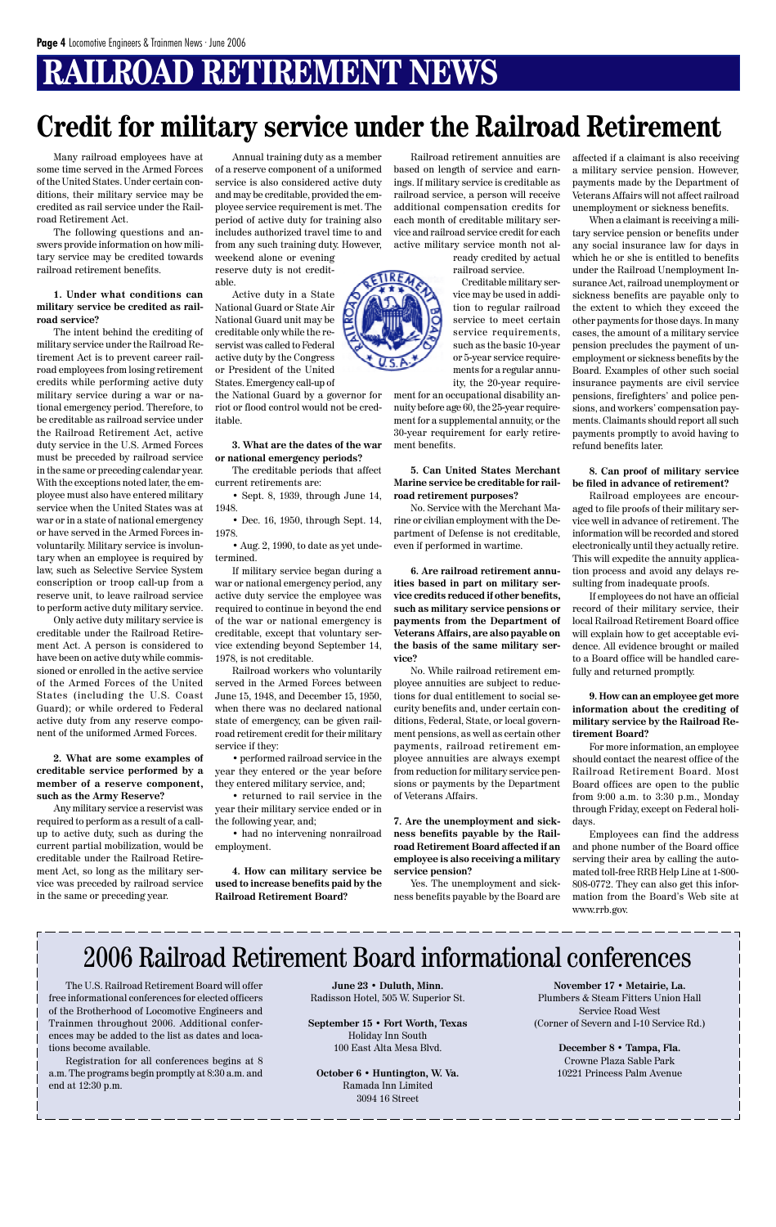## **RAILROAD RETIREMENT NEWS**

Many railroad employees have at some time served in the Armed Forces of the United States. Under certain conditions, their military service may be credited as rail service under the Railroad Retirement Act.

The following questions and answers provide information on how military service may be credited towards railroad retirement benefits.

#### **1. Under what conditions can military service be credited as railroad service?**

The intent behind the crediting of military service under the Railroad Retirement Act is to prevent career railroad employees from losing retirement credits while performing active duty military service during a war or national emergency period. Therefore, to be creditable as railroad service under the Railroad Retirement Act, active duty service in the U.S. Armed Forces must be preceded by railroad service in the same or preceding calendar year. With the exceptions noted later, the employee must also have entered military service when the United States was at war or in a state of national emergency or have served in the Armed Forces involuntarily. Military service is involuntary when an employee is required by law, such as Selective Service System conscription or troop call-up from a reserve unit, to leave railroad service to perform active duty military service.

Only active duty military service is creditable under the Railroad Retirement Act. A person is considered to have been on active duty while commissioned or enrolled in the active service of the Armed Forces of the United States (including the U.S. Coast Guard); or while ordered to Federal active duty from any reserve component of the uniformed Armed Forces.

**2. What are some examples of creditable service performed by a member of a reserve component, such as the Army Reserve?**

Any military service a reservist was required to perform as a result of a callup to active duty, such as during the current partial mobilization, would be creditable under the Railroad Retirement Act, so long as the military service was preceded by railroad service in the same or preceding year.

Annual training duty as a member of a reserve component of a uniformed service is also considered active duty and may be creditable, provided the employee service requirement is met. The period of active duty for training also includes authorized travel time to and from any such training duty. However, weekend alone or evening reserve duty is not credit-

able. Active duty in a State National Guard or State Air National Guard unit may be creditable only while the reservist was called to Federal active duty by the Congress or President of the United States. Emergency call-up of

the National Guard by a governor for riot or flood control would not be creditable.

#### **3. What are the dates of the war or national emergency periods?**

The creditable periods that affect current retirements are:

• Sept. 8, 1939, through June 14, 1948.

• Dec. 16, 1950, through Sept. 14, 1978.

• Aug. 2, 1990, to date as yet undetermined.

If military service began during a war or national emergency period, any active duty service the employee was required to continue in beyond the end of the war or national emergency is creditable, except that voluntary service extending beyond September 14, 1978, is not creditable.

Railroad workers who voluntarily served in the Armed Forces between June 15, 1948, and December 15, 1950, when there was no declared national state of emergency, can be given railroad retirement credit for their military service if they:

• performed railroad service in the year they entered or the year before they entered military service, and;

• returned to rail service in the year their military service ended or in the following year, and;

• had no intervening nonrailroad employment.

**4. How can military service be used to increase benefits paid by the Railroad Retirement Board?**

Railroad retirement annuities are based on length of service and earnings. If military service is creditable as railroad service, a person will receive additional compensation credits for each month of creditable military service and railroad service credit for each active military service month not al-

> ready credited by actual railroad service.

Creditable military service may be used in addition to regular railroad service to meet certain service requirements, such as the basic 10-year or 5-year service requirements for a regular annuity, the 20-year require-

ment for an occupational disability annuity before age 60, the 25-year requirement for a supplemental annuity, or the 30-year requirement for early retirement benefits.

**5. Can United States Merchant Marine service be creditable for railroad retirement purposes?**

No. Service with the Merchant Marine or civilian employment with the Department of Defense is not creditable, even if performed in wartime.

**6. Are railroad retirement annuities based in part on military service credits reduced if other benefits, such as military service pensions or payments from the Department of Veterans Affairs, are also payable on the basis of the same military service?**

No. While railroad retirement employee annuities are subject to reductions for dual entitlement to social security benefits and, under certain conditions, Federal, State, or local government pensions, as well as certain other payments, railroad retirement employee annuities are always exempt from reduction for military service pensions or payments by the Department of Veterans Affairs.

**7. Are the unemployment and sickness benefits payable by the Railroad Retirement Board affected if an employee is also receiving a military service pension?**

Yes. The unemployment and sickness benefits payable by the Board are affected if a claimant is also receiving a military service pension. However, payments made by the Department of Veterans Affairs will not affect railroad unemployment or sickness benefits.

When a claimant is receiving a military service pension or benefits under any social insurance law for days in which he or she is entitled to benefits under the Railroad Unemployment Insurance Act, railroad unemployment or sickness benefits are payable only to the extent to which they exceed the other payments for those days. In many cases, the amount of a military service pension precludes the payment of unemployment or sickness benefits by the Board. Examples of other such social insurance payments are civil service pensions, firefighters' and police pensions, and workers' compensation payments. Claimants should report all such payments promptly to avoid having to refund benefits later.

#### **8. Can proof of military service be filed in advance of retirement?**

Railroad employees are encouraged to file proofs of their military service well in advance of retirement. The information will be recorded and stored electronically until they actually retire. This will expedite the annuity application process and avoid any delays resulting from inadequate proofs.

If employees do not have an official record of their military service, their local Railroad Retirement Board office will explain how to get acceptable evidence. All evidence brought or mailed to a Board office will be handled carefully and returned promptly.

**9. How can an employee get more information about the crediting of military service by the Railroad Retirement Board?**

For more information, an employee should contact the nearest office of the Railroad Retirement Board. Most Board offices are open to the public from 9:00 a.m. to 3:30 p.m., Monday through Friday, except on Federal holidays.

Employees can find the address and phone number of the Board office serving their area by calling the automated toll-free RRB Help Line at 1-800- 808-0772. They can also get this information from the Board's Web site at



### **Credit for military service under the Railroad Retirement**

The U.S. Railroad Retirement Board will offer free informational conferences for elected officers of the Brotherhood of Locomotive Engineers and Trainmen throughout 2006. Additional conferences may be added to the list as dates and locations become available.

Registration for all conferences begins at 8 a.m. The programs begin promptly at 8:30 a.m. and end at 12:30 p.m.

**June 23 • Duluth, Minn.** Radisson Hotel, 505 W. Superior St.

**September 15 • Fort Worth, Texas** Holiday Inn South 100 East Alta Mesa Blvd.

**October 6 • Huntington, W. Va.** Ramada Inn Limited 3094 16 Street

### 2006 Railroad Retirement Board informational conferences

**November 17 • Metairie, La.** Plumbers & Steam Fitters Union Hall Service Road West (Corner of Severn and I-10 Service Rd.)

> **December 8 • Tampa, Fla.** Crowne Plaza Sable Park 10221 Princess Palm Avenue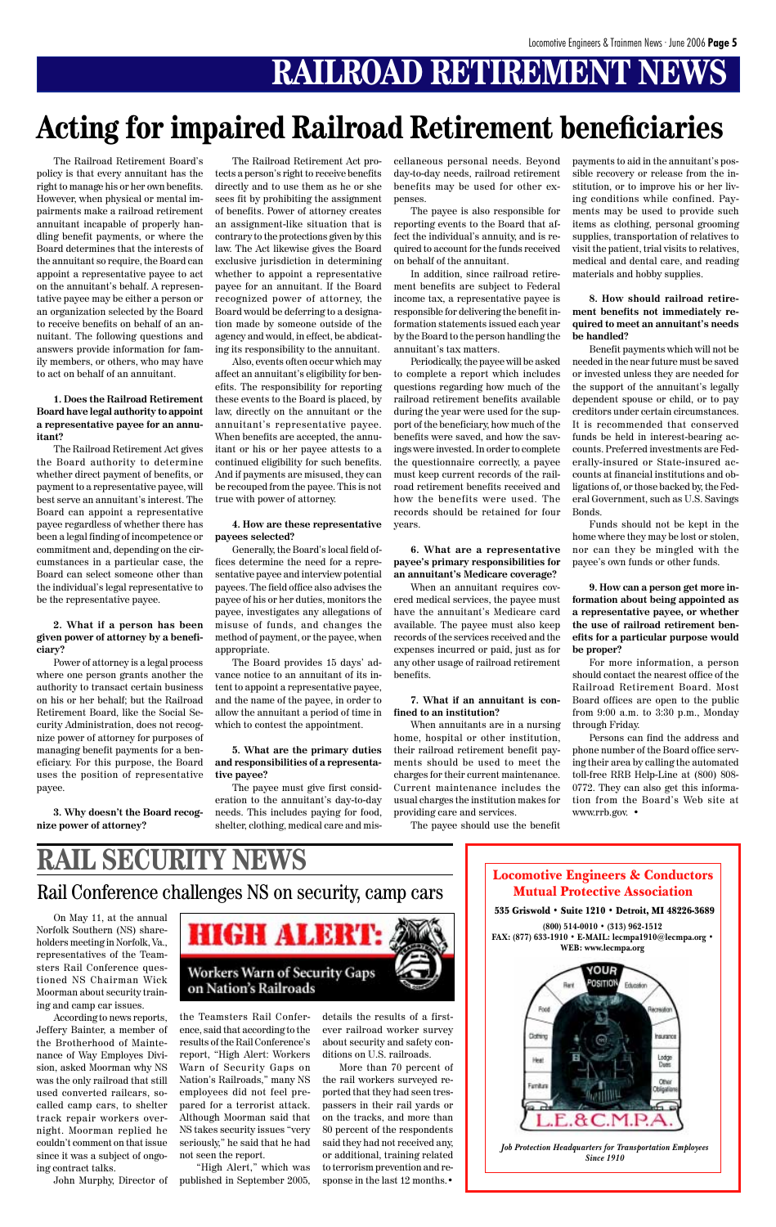## **RAILROAD RETIREMENT NEWS**

## **Acting for impaired Railroad Retirement beneficiaries**

The Railroad Retirement Board's policy is that every annuitant has the right to manage his or her own benefits. However, when physical or mental impairments make a railroad retirement annuitant incapable of properly handling benefit payments, or where the Board determines that the interests of the annuitant so require, the Board can appoint a representative payee to act on the annuitant's behalf. A representative payee may be either a person or an organization selected by the Board to receive benefits on behalf of an annuitant. The following questions and answers provide information for family members, or others, who may have to act on behalf of an annuitant.

#### **1. Does the Railroad Retirement Board have legal authority to appoint a representative payee for an annuitant?**

The Railroad Retirement Act gives the Board authority to determine whether direct payment of benefits, or payment to a representative payee, will best serve an annuitant's interest. The Board can appoint a representative payee regardless of whether there has been a legal finding of incompetence or commitment and, depending on the circumstances in a particular case, the Board can select someone other than the individual's legal representative to be the representative payee.

#### **2. What if a person has been given power of attorney by a beneficiary?**

Power of attorney is a legal process where one person grants another the authority to transact certain business on his or her behalf; but the Railroad Retirement Board, like the Social Security Administration, does not recognize power of attorney for purposes of managing benefit payments for a beneficiary. For this purpose, the Board uses the position of representative payee.

**3. Why doesn't the Board recognize power of attorney?**

The Railroad Retirement Act protects a person's right to receive benefits directly and to use them as he or she sees fit by prohibiting the assignment of benefits. Power of attorney creates an assignment-like situation that is contrary to the protections given by this law. The Act likewise gives the Board exclusive jurisdiction in determining whether to appoint a representative payee for an annuitant. If the Board recognized power of attorney, the Board would be deferring to a designation made by someone outside of the agency and would, in effect, be abdicating its responsibility to the annuitant.

Also, events often occur which may affect an annuitant's eligibility for benefits. The responsibility for reporting these events to the Board is placed, by law, directly on the annuitant or the annuitant's representative payee. When benefits are accepted, the annuitant or his or her payee attests to a continued eligibility for such benefits. And if payments are misused, they can be recouped from the payee. This is not true with power of attorney.

#### **4. How are these representative payees selected?**

Generally, the Board's local field offices determine the need for a representative payee and interview potential payees. The field office also advises the payee of his or her duties, monitors the payee, investigates any allegations of misuse of funds, and changes the method of payment, or the payee, when appropriate.

The Board provides 15 days' advance notice to an annuitant of its intent to appoint a representative payee, and the name of the payee, in order to allow the annuitant a period of time in which to contest the appointment.

#### **5. What are the primary duties and responsibilities of a representative payee?**

The payee must give first consideration to the annuitant's day-to-day needs. This includes paying for food, shelter, clothing, medical care and mis-

cellaneous personal needs. Beyond day-to-day needs, railroad retirement benefits may be used for other expenses.

The payee is also responsible for reporting events to the Board that affect the individual's annuity, and is required to account for the funds received on behalf of the annuitant.

In addition, since railroad retirement benefits are subject to Federal income tax, a representative payee is responsible for delivering the benefit information statements issued each year by the Board to the person handling the annuitant's tax matters.

Periodically, the payee will be asked to complete a report which includes questions regarding how much of the railroad retirement benefits available during the year were used for the support of the beneficiary, how much of the benefits were saved, and how the savings were invested. In order to complete the questionnaire correctly, a payee must keep current records of the railroad retirement benefits received and how the benefits were used. The records should be retained for four years.

#### **6. What are a representative payee's primary responsibilities for an annuitant's Medicare coverage?**

When an annuitant requires covered medical services, the payee must have the annuitant's Medicare card available. The payee must also keep records of the services received and the expenses incurred or paid, just as for any other usage of railroad retirement benefits.

#### **7. What if an annuitant is confined to an institution?**

When annuitants are in a nursing home, hospital or other institution, their railroad retirement benefit payments should be used to meet the charges for their current maintenance. Current maintenance includes the usual charges the institution makes for providing care and services.

The payee should use the benefit

payments to aid in the annuitant's possible recovery or release from the institution, or to improve his or her living conditions while confined. Payments may be used to provide such items as clothing, personal grooming supplies, transportation of relatives to visit the patient, trial visits to relatives, medical and dental care, and reading materials and hobby supplies.

#### **8. How should railroad retirement benefits not immediately required to meet an annuitant's needs be handled?**

Benefit payments which will not be needed in the near future must be saved or invested unless they are needed for the support of the annuitant's legally dependent spouse or child, or to pay creditors under certain circumstances. It is recommended that conserved funds be held in interest-bearing accounts. Preferred investments are Federally-insured or State-insured accounts at financial institutions and obligations of, or those backed by, the Federal Government, such as U.S. Savings Bonds.

Funds should not be kept in the home where they may be lost or stolen, nor can they be mingled with the payee's own funds or other funds.

**9. How can a person get more information about being appointed as a representative payee, or whether the use of railroad retirement benefits for a particular purpose would be proper?**

For more information, a person should contact the nearest office of the Railroad Retirement Board. Most Board offices are open to the public from 9:00 a.m. to 3:30 p.m., Monday through Friday.

Persons can find the address and phone number of the Board office serving their area by calling the automated toll-free RRB Help-Line at (800) 808- 0772. They can also get this information from the Board's Web site at www.rrb.gov. •

Locomotive Engineers & Conductors Mutual Protective Association

#### 535 Griswold • Suite 1210 • Detroit, MI 48226-3689

**(800) 514-0010 • (313) 962-1512 FAX: (877) 633-1910 • E-MAIL: lecmpa1910@lecmpa.org • WEB: www.lecmpa.org**



*Job Protection Headquarters for Transportation Employees Since 1910*

Rail Conference challenges NS on security, camp cars

#### On May 11, at the annual Norfolk Southern (NS) shareholders meeting in Norfolk, Va., representatives of the Teamsters Rail Conference questioned NS Chairman Wick Moorman about security training and camp car issues.

According to news reports, Jeffery Bainter, a member of the Brotherhood of Maintenance of Way Employes Division, asked Moorman why NS was the only railroad that still used converted railcars, socalled camp cars, to shelter track repair workers overnight. Moorman replied he couldn't comment on that issue since it was a subject of ongoing contract talks.



John Murphy, Director of published in September 2005, "High Alert," which was

the Teamsters Rail Conference, said that according to the results of the Rail Conference's report, "High Alert: Workers Warn of Security Gaps on Nation's Railroads," many NS employees did not feel prepared for a terrorist attack. Although Moorman said that NS takes security issues "very seriously," he said that he had not seen the report.

details the results of a firstever railroad worker survey about security and safety conditions on U.S. railroads.

More than 70 percent of the rail workers surveyed reported that they had seen trespassers in their rail yards or on the tracks, and more than 80 percent of the respondents said they had not received any, or additional, training related to terrorism prevention and response in the last 12 months.•

# **RAIL SECURITY NEWS**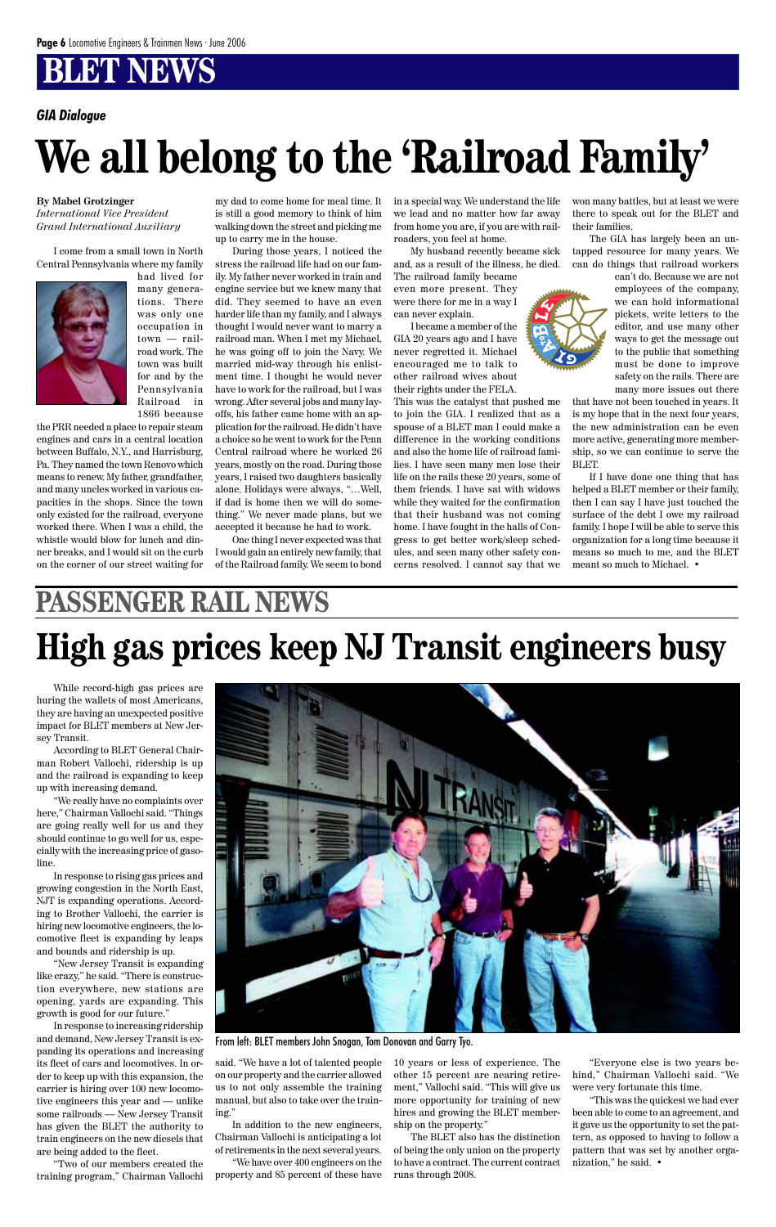## **BLET NEWS**

#### **By Mabel Grotzinger**

*International Vice President Grand International Auxiliary*

I come from a small town in North Central Pennsylvania where my family



had lived for many generations. There was only one occupation in town — railroad work. The town was built for and by the Pennsylvania Railroad in 1866 because

the PRR needed a place to repair steam engines and cars in a central location between Buffalo, N.Y., and Harrisburg, Pa. They named the town Renovo which means to renew. My father, grandfather, and many uncles worked in various capacities in the shops. Since the town only existed for the railroad, everyone worked there. When I was a child, the whistle would blow for lunch and dinner breaks, and I would sit on the curb on the corner of our street waiting for

my dad to come home for meal time. It is still a good memory to think of him walking down the street and picking me up to carry me in the house.

During those years, I noticed the stress the railroad life had on our family. My father never worked in train and engine service but we knew many that did. They seemed to have an even harder life than my family, and I always thought I would never want to marry a railroad man. When I met my Michael, he was going off to join the Navy. We married mid-way through his enlistment time. I thought he would never have to work for the railroad, but I was wrong. After several jobs and many layoffs, his father came home with an application for the railroad. He didn't have a choice so he went to work for the Penn Central railroad where he worked 26 years, mostly on the road. During those years, I raised two daughters basically alone. Holidays were always, "…Well, if dad is home then we will do something." We never made plans, but we accepted it because he had to work.

One thing I never expected was that I would gain an entirely new family, that of the Railroad family. We seem to bond in a special way. We understand the life we lead and no matter how far away from home you are, if you are with railroaders, you feel at home.

My husband recently became sick and, as a result of the illness, he died.

The railroad family became even more present. They were there for me in a way I can never explain.

I became a member of the GIA 20 years ago and I have never regretted it. Michael encouraged me to talk to other railroad wives about their rights under the FELA.

This was the catalyst that pushed me to join the GIA. I realized that as a spouse of a BLET man I could make a difference in the working conditions and also the home life of railroad families. I have seen many men lose their life on the rails these 20 years, some of them friends. I have sat with widows while they waited for the confirmation that their husband was not coming home. I have fought in the halls of Congress to get better work/sleep schedules, and seen many other safety concerns resolved. I cannot say that we

won many battles, but at least we were there to speak out for the BLET and their families.

The GIA has largely been an untapped resource for many years. We can do things that railroad workers



that have not been touched in years. It is my hope that in the next four years, the new administration can be even more active, generating more membership, so we can continue to serve the BLET.

If I have done one thing that has helped a BLET member or their family, then I can say I have just touched the surface of the debt I owe my railroad family. I hope I will be able to serve this organization for a long time because it means so much to me, and the BLET meant so much to Michael. •

# **We all belong to the 'Railroad Family'**

#### *GIA Dialogue*

While record-high gas prices are huring the wallets of most Americans, they are having an unexpected positive impact for BLET members at New Jersey Transit.

According to BLET General Chairman Robert Vallochi, ridership is up and the railroad is expanding to keep up with increasing demand.

"We really have no complaints over here," Chairman Vallochi said. "Things are going really well for us and they should continue to go well for us, especially with the increasing price of gasoline.

In response to rising gas prices and growing congestion in the North East, NJT is expanding operations. According to Brother Vallochi, the carrier is hiring new locomotive engineers, the locomotive fleet is expanding by leaps and bounds and ridership is up. "New Jersey Transit is expanding like crazy," he said. "There is construction everywhere, new stations are opening, yards are expanding. This growth is good for our future." In response to increasing ridership and demand, New Jersey Transit is expanding its operations and increasing its fleet of cars and locomotives. In order to keep up with this expansion, the carrier is hiring over 100 new locomotive engineers this year and — unlike some railroads — New Jersey Transit has given the BLET the authority to train engineers on the new diesels that are being added to the fleet.



"Two of our members created the training program," Chairman Vallochi said. "We have a lot of talented people on our property and the carrier allowed us to not only assemble the training manual, but also to take over the training."

In addition to the new engineers, Chairman Vallochi is anticipating a lot of retirements in the next several years.

"We have over 400 engineers on the property and 85 percent of these have 10 years or less of experience. The other 15 percent are nearing retirement," Vallochi said. "This will give us more opportunity for training of new hires and growing the BLET membership on the property."

The BLET also has the distinction of being the only union on the property to have a contract. The current contract runs through 2008.

"Everyone else is two years behind," Chairman Vallochi said. "We were very fortunate this time.

"This was the quickest we had ever been able to come to an agreement, and it gave us the opportunity to set the pattern, as opposed to having to follow a pattern that was set by another organization," he said. •

## **PASSENGER RAIL NEWS High gas prices keep NJ Transit engineers busy**

From left: BLET members John Snogan, Tom Donovan and Garry Tyo.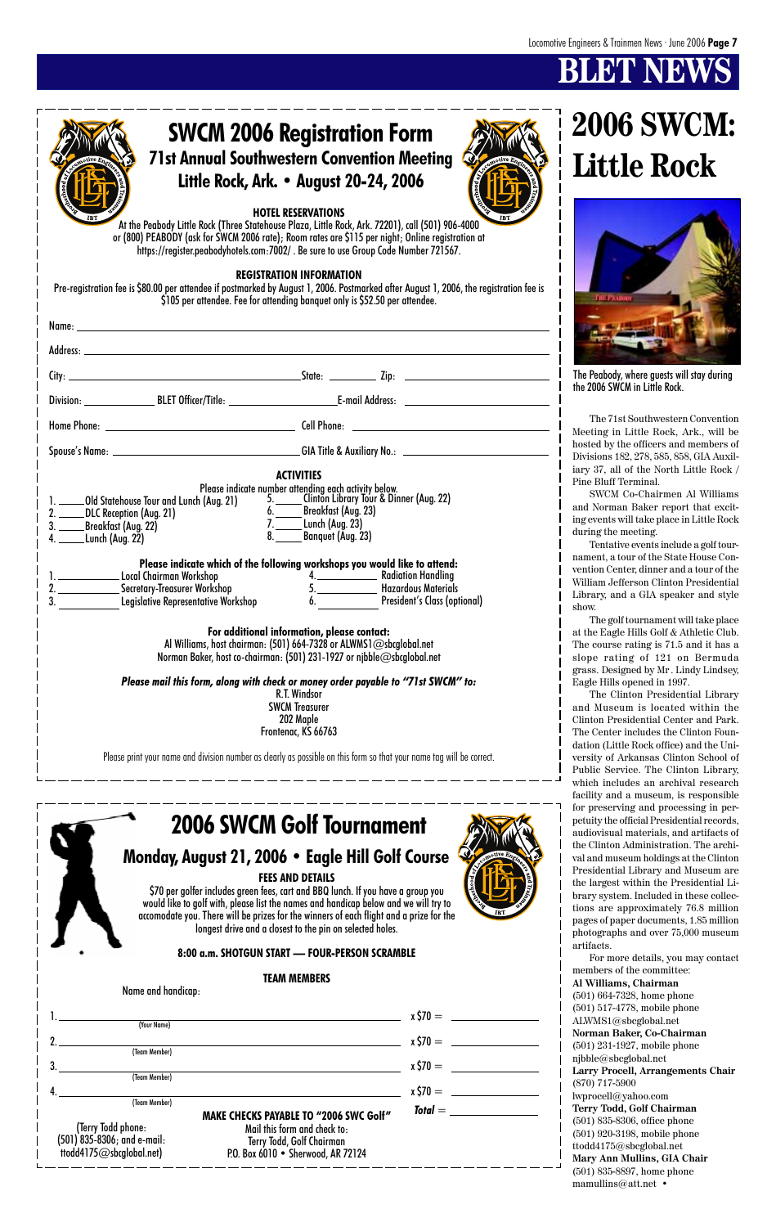## **BLEMS**



|                                                                                                |                                                                                                 | $x \, \zeta \, 70 =$ |
|------------------------------------------------------------------------------------------------|-------------------------------------------------------------------------------------------------|----------------------|
| (Your Name)                                                                                    |                                                                                                 |                      |
|                                                                                                |                                                                                                 | $x \, \zeta \, 70 =$ |
| (Team Member)                                                                                  |                                                                                                 |                      |
|                                                                                                |                                                                                                 | $x \, \zeta 70 =$    |
| (Team Member)                                                                                  |                                                                                                 |                      |
|                                                                                                |                                                                                                 | $x \, \zeta 70 =$    |
| (Team Member)                                                                                  | <b>MAKE CHECKS PAYABLE TO "2006 SWC Golf"</b>                                                   | $Total =$            |
| (Terry Todd phone:<br>(501) 835-8306; and e-mail:<br>$\dot{a}$ ttodd4175 $@$ sb $@$ lobal.net) | Mail this form and check to:<br>Terry Todd, Golf Chairman<br>P.O. Box 6010 . Sherwood, AR 72124 |                      |

### **8:00 a.m. SHOTGUN START — FOUR-PERSON SCRAMBLE**

### **TEAM MEMBERS**

Name and handicap:





petuity the official Presidential records, audiovisual materials, and artifacts of the Clinton Administration. The archival and museum holdings at the Clinton Presidential Library and Museum are the largest within the Presidential Library system. Included in these collec-

tions are approximately 76.8 million pages of paper documents, 1.85 million photographs and over 75,000 museum artifacts.

For more details, you may contact members of the committee: **Al Williams, Chairman** (501) 664-7328, home phone (501) 517-4778, mobile phone ALWMS1@sbcglobal.net **Norman Baker, Co-Chairman** (501) 231-1927, mobile phone njbble@sbcglobal.net **Larry Procell, Arrangements Chair** (870) 717-5900 lwprocell@yahoo.com **Terry Todd, Golf Chairman** (501) 835-8306, office phone (501) 920-3198, mobile phone ttodd4175@sbcglobal.net **Mary Ann Mullins, GIA Chair** (501) 835-8897, home phone mamullins@att.net •